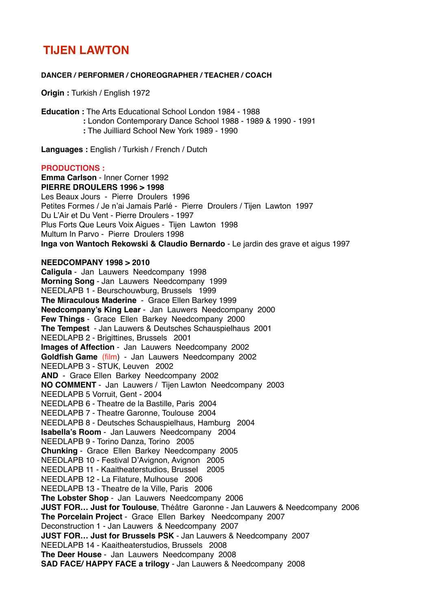# **TIJEN LAWTON**

#### **DANCER / PERFORMER / CHOREOGRAPHER / TEACHER / COACH**

**Origin :** Turkish / English 1972

**Education :** The Arts Educational School London 1984 - 1988

- **:** London Contemporary Dance School 1988 1989 & 1990 1991
- **:** The Juilliard School New York 1989 1990

**Languages :** English / Turkish / French / Dutch

#### **PRODUCTIONS :**

**Emma Carlson** - Inner Corner 1992 **PIERRE DROULERS 1996 > 1998** Les Beaux Jours - Pierre Droulers 1996 Petites Formes / Je n'ai Jamais Parlé - Pierre Droulers / Tijen Lawton 1997 Du L'Air et Du Vent - Pierre Droulers - 1997 Plus Forts Que Leurs Voix Aigues - Tijen Lawton 1998 Multum In Parvo - Pierre Droulers 1998 **Inga von Wantoch Rekowski & Claudio Bernardo** - Le jardin des grave et aigus 1997

## **NEEDCOMPANY 1998 > 2010**

**Caligula** - Jan Lauwers Needcompany 1998 **Morning Song** - Jan Lauwers Needcompany 1999 NEEDLAPB 1 - Beurschouwburg, Brussels 1999 **The Miraculous Maderine** - Grace Ellen Barkey 1999 **Needcompany's King Lear** - Jan Lauwers Needcompany 2000 **Few Things** - Grace Ellen Barkey Needcompany 2000 **The Tempest** - Jan Lauwers & Deutsches Schauspielhaus 2001 NEEDLAPB 2 - Brigittines, Brussels 2001 **Images of Affection** - Jan Lauwers Needcompany 2002 **Goldfish Game** (film) - Jan Lauwers Needcompany 2002 NEEDLAPB 3 - STUK, Leuven 2002 **AND** - Grace Ellen Barkey Needcompany 2002 **NO COMMENT** - Jan Lauwers / Tijen Lawton Needcompany 2003 NEEDLAPB 5 Vorruit, Gent - 2004 NEEDLAPB 6 - Theatre de la Bastille, Paris 2004 NEEDLAPB 7 - Theatre Garonne, Toulouse 2004 NEEDLAPB 8 - Deutsches Schauspielhaus, Hamburg 2004 **Isabella's Room** - Jan Lauwers Needcompany 2004 NEEDLAPB 9 - Torino Danza, Torino 2005 **Chunking** - Grace Ellen Barkey Needcompany 2005 NEEDLAPB 10 - Festival D'Avignon, Avignon 2005 NEEDLAPB 11 - Kaaitheaterstudios, Brussel 2005 NEEDLAPB 12 - La Filature, Mulhouse 2006 NEEDLAPB 13 - Theatre de la Ville, Paris 2006 **The Lobster Shop** - Jan Lauwers Needcompany 2006 **JUST FOR… Just for Toulouse**, Théâtre Garonne - Jan Lauwers & Needcompany 2006 **The Porcelain Project** - Grace Ellen Barkey Needcompany 2007 Deconstruction 1 - Jan Lauwers & Needcompany 2007 **JUST FOR… Just for Brussels PSK** - Jan Lauwers & Needcompany 2007 NEEDLAPB 14 - Kaaitheaterstudios, Brussels 2008 **The Deer House** - Jan Lauwers Needcompany 2008 **SAD FACE/ HAPPY FACE a trilogy** - Jan Lauwers & Needcompany 2008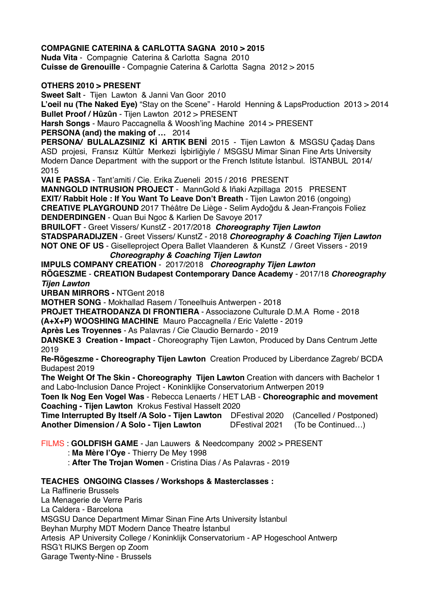# **COMPAGNIE CATERINA & CARLOTTA SAGNA 2010 > 2015**

**Nuda Vita** - Compagnie Caterina & Carlotta Sagna 2010 **Cuisse de Grenouille** - Compagnie Caterina & Carlotta Sagna 2012 > 2015

## **OTHERS 2010 > PRESENT**

**Sweet Salt** - Tijen Lawton & Janni Van Goor 2010

**L'oeil nu (The Naked Eye)** "Stay on the Scene" - Harold Henning & LapsProduction 2013 > 2014 **Bullet Proof / Hûzûn** - Tijen Lawton 2012 > PRESENT

**Harsh Songs** - Mauro Paccagnella & Woosh'ing Machine 2014 > PRESENT

**PERSONA (and) the making of …** 2014

**PERSONA/ BULALAZSINIZ Kİ ARTIK BENİ** 2015 - Tijen Lawton & MSGSU Çadaş Dans ASD projesi, Fransız Kültür Merkezi İşbirliğiyle / MSGSU Mimar Sinan Fine Arts University Modern Dance Department with the support or the French Istitute İstanbul. İSTANBUL 2014/ 2015

**VAI E PASSA** - Tant'amiti / Cie. Erika Zueneli 2015 / 2016 PRESENT

**MANNGOLD INTRUSION PROJECT** - MannGold & Iñaki Azpillaga 2015 PRESENT **EXIT/ Rabbit Hole : If You Want To Leave Don't Breath** - Tijen Lawton 2016 (ongoing) **CREATIVE PLAYGROUND** 2017 Théâtre De Liège - Selim Aydoğdu & Jean-François Foliez **DENDERDINGEN** - Quan Bui Ngoc & Karlien De Savoye 2017

**BRUILOFT** - Greet Vissers/ KunstZ - 2017/2018 *Choreography Tijen Lawton* 

**STADSPARADIJZEN** - Greet Vissers/ KunstZ - 2018 *Choreography & Coaching Tijen Lawton* **NOT ONE OF US** - Giselleproject Opera Ballet Vlaanderen & KunstZ / Greet Vissers - 2019

*Choreography & Coaching Tijen Lawton*

**IMPULS COMPANY CREATION** - 2017/2018 *Choreography Tijen Lawton* **RÖGESZME** - **CREATION Budapest Contemporary Dance Academy** - 2017/18 *Choreography Tijen Lawton* 

**URBAN MIRRORS -** NTGent 2018

**MOTHER SONG** - Mokhallad Rasem / Toneelhuis Antwerpen - 2018

**PROJET THEATRODANZA DI FRONTIERA** - Associazone Culturale D.M.A Rome - 2018

**(A+X+P) WOOSHING MACHINE** Mauro Paccagnella / Eric Valette - 2019

**Après Les Troyennes** - As Palavras / Cie Claudio Bernardo - 2019

**DANSKE 3 Creation - Impact** - Choreography Tijen Lawton, Produced by Dans Centrum Jette 2019

**Re-Rögeszme - Choreography Tijen Lawton** Creation Produced by Liberdance Zagreb/ BCDA Budapest 2019

**The Weight Of The Skin - Choreography Tijen Lawton** Creation with dancers with Bachelor 1 and Labo-Inclusion Dance Project - Koninklijke Conservatorium Antwerpen 2019

**Toen Ik Nog Een Vogel Was** - Rebecca Lenaerts / HET LAB - **Choreographic and movement Coaching - Tijen Lawton** Krokus Festival Hasselt 2020

**Time Interrupted By Itself /A Solo - Tijen Lawton** DFestival 2020 (Cancelled / Postponed) **Another Dimension / A Solo - Tijen Lawton DFestival 2021 (To be Continued...)** 

FILMS : **GOLDFISH GAME** - Jan Lauwers & Needcompany 2002 > PRESENT : **Ma Mère I'Oye** - Thierry De Mey 1998

: **After The Trojan Women** - Cristina Dias / As Palavras - 2019

# **TEACHES ONGOING Classes / Workshops & Masterclasses :**

La Raffinerie Brussels La Menagerie de Verre Paris La Caldera - Barcelona MSGSU Dance Department Mimar Sinan Fine Arts University İstanbul Beyhan Murphy MDT Modern Dance Theatre İstanbul Artesis AP University College / Koninklijk Conservatorium - AP Hogeschool Antwerp RSG't RIJKS Bergen op Zoom Garage Twenty-Nine - Brussels